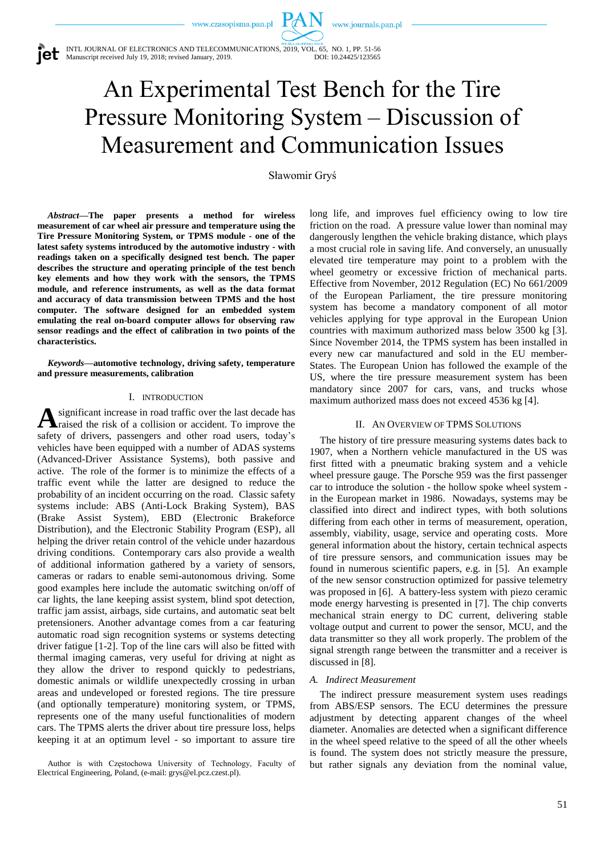www.journals.pan.pl

INTL JOURNAL OF ELECTRONICS AND TELECOMMUNICATIONS, 2019, VOL. 65, NO. 1, PP. 51-56 Manuscript received July 19, 2018; revised January, 2019. DOI: 10.24425/123565

# An Experimental Test Bench for the Tire Pressure Monitoring System – Discussion of Measurement and Communication Issues

PA N

Sławomir Gryś

*Abstract***—The paper presents a method for wireless measurement of car wheel air pressure and temperature using the Tire Pressure Monitoring System, or TPMS module - one of the latest safety systems introduced by the automotive industry - with readings taken on a specifically designed test bench. The paper describes the structure and operating principle of the test bench key elements and how they work with the sensors, the TPMS module, and reference instruments, as well as the data format and accuracy of data transmission between TPMS and the host computer. The software designed for an embedded system emulating the real on-board computer allows for observing raw sensor readings and the effect of calibration in two points of the characteristics.**

*Keywords***—automotive technology, driving safety, temperature and pressure measurements, calibration**

# I. INTRODUCTION

significant increase in road traffic over the last decade has **A** significant increase in road traffic over the last decade has raised the risk of a collision or accident. To improve the safety of drivers, passengers and other road users, today's vehicles have been equipped with a number of ADAS systems (Advanced-Driver Assistance Systems), both passive and active. The role of the former is to minimize the effects of a traffic event while the latter are designed to reduce the probability of an incident occurring on the road. Classic safety systems include: ABS (Anti-Lock Braking System), BAS (Brake Assist System), EBD (Electronic Brakeforce Distribution), and the Electronic Stability Program (ESP), all helping the driver retain control of the vehicle under hazardous driving conditions. Contemporary cars also provide a wealth of additional information gathered by a variety of sensors, cameras or radars to enable semi-autonomous driving. Some good examples here include the automatic switching on/off of car lights, the lane keeping assist system, blind spot detection, traffic jam assist, airbags, side curtains, and automatic seat belt pretensioners. Another advantage comes from a car featuring automatic road sign recognition systems or systems detecting driver fatigue [1-2]. Top of the line cars will also be fitted with thermal imaging cameras, very useful for driving at night as they allow the driver to respond quickly to pedestrians, domestic animals or wildlife unexpectedly crossing in urban areas and undeveloped or forested regions. The tire pressure (and optionally temperature) monitoring system, or TPMS, represents one of the many useful functionalities of modern cars. The TPMS alerts the driver about tire pressure loss, helps keeping it at an optimum level - so important to assure tire

Author is with Częstochowa University of Technology, Faculty of Electrical Engineering, Poland, (e-mail: grys@el.pcz.czest.pl).

long life, and improves fuel efficiency owing to low tire friction on the road. A pressure value lower than nominal may dangerously lengthen the vehicle braking distance, which plays a most crucial role in saving life. And conversely, an unusually elevated tire temperature may point to a problem with the wheel geometry or excessive friction of mechanical parts. Effective from November, 2012 Regulation (EC) No 661/2009 of the European Parliament, the tire pressure monitoring system has become a mandatory component of all motor vehicles applying for type approval in the European Union countries with maximum authorized mass below 3500 kg [3]. Since November 2014, the TPMS system has been installed in every new car manufactured and sold in the EU member-States. The European Union has followed the example of the US, where the tire pressure measurement system has been mandatory since 2007 for cars, vans, and trucks whose maximum authorized mass does not exceed 4536 kg [4].

## II. AN OVERVIEW OF TPMS SOLUTIONS

The history of tire pressure measuring systems dates back to 1907, when a Northern vehicle manufactured in the US was first fitted with a pneumatic braking system and a vehicle wheel pressure gauge. The Porsche 959 was the first passenger car to introduce the solution - the hollow spoke wheel system in the European market in 1986. Nowadays, systems may be classified into direct and indirect types, with both solutions differing from each other in terms of measurement, operation, assembly, viability, usage, service and operating costs. More general information about the history, certain technical aspects of tire pressure sensors, and communication issues may be found in numerous scientific papers, e.g. in [5]. An example of the new sensor construction optimized for passive telemetry was proposed in [6]. A battery-less system with piezo ceramic mode energy harvesting is presented in [7]. The chip converts mechanical strain energy to DC current, delivering stable voltage output and current to power the sensor, MCU, and the data transmitter so they all work properly. The problem of the signal strength range between the transmitter and a receiver is discussed in [8].

## *A. Indirect Measurement*

The indirect pressure measurement system uses readings from ABS/ESP sensors. The ECU determines the pressure adjustment by detecting apparent changes of the wheel diameter. Anomalies are detected when a significant difference in the wheel speed relative to the speed of all the other wheels is found. The system does not strictly measure the pressure, but rather signals any deviation from the nominal value,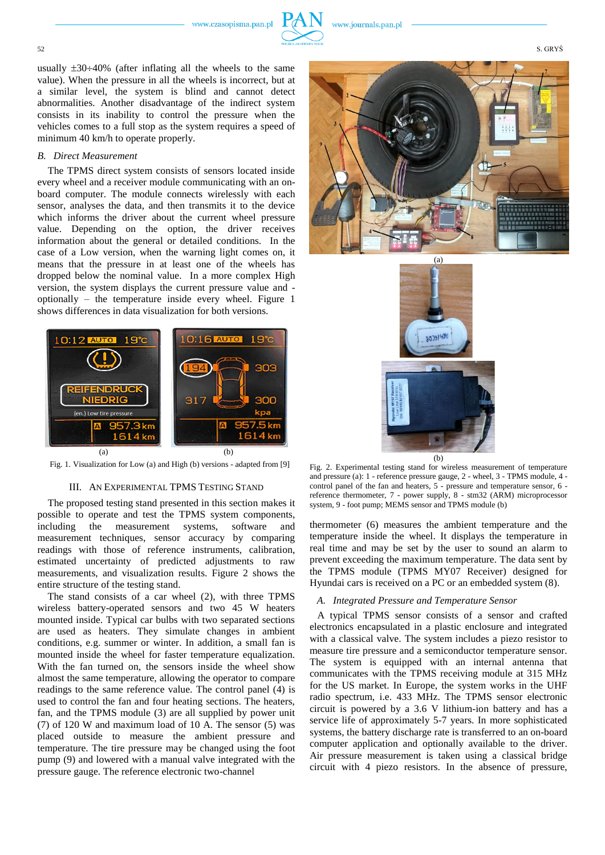

usually  $\pm 30 \div 40\%$  (after inflating all the wheels to the same value). When the pressure in all the wheels is incorrect, but at a similar level, the system is blind and cannot detect abnormalities. Another disadvantage of the indirect system consists in its inability to control the pressure when the vehicles comes to a full stop as the system requires a speed of minimum 40 km/h to operate properly.

# *B. Direct Measurement*

The TPMS direct system consists of sensors located inside every wheel and a receiver module communicating with an onboard computer. The module connects wirelessly with each sensor, analyses the data, and then transmits it to the device which informs the driver about the current wheel pressure value. Depending on the option, the driver receives information about the general or detailed conditions. In the case of a Low version, when the warning light comes on, it means that the pressure in at least one of the wheels has dropped below the nominal value. In a more complex High version, the system displays the current pressure value and optionally – the temperature inside every wheel. Figure 1 shows differences in data visualization for both versions.



Fig. 1. Visualization for Low (a) and High (b) versions - adapted from [9]

## III. AN EXPERIMENTAL TPMS TESTING STAND

The proposed testing stand presented in this section makes it possible to operate and test the TPMS system components, including the measurement systems, software and measurement techniques, sensor accuracy by comparing readings with those of reference instruments, calibration, estimated uncertainty of predicted adjustments to raw measurements, and visualization results. Figure 2 shows the entire structure of the testing stand.

The stand consists of a car wheel (2), with three TPMS wireless battery-operated sensors and two 45 W heaters mounted inside. Typical car bulbs with two separated sections are used as heaters. They simulate changes in ambient conditions, e.g. summer or winter. In addition, a small fan is mounted inside the wheel for faster temperature equalization. With the fan turned on, the sensors inside the wheel show almost the same temperature, allowing the operator to compare readings to the same reference value. The control panel (4) is used to control the fan and four heating sections. The heaters, fan, and the TPMS module (3) are all supplied by power unit (7) of 120 W and maximum load of 10 A. The sensor (5) was placed outside to measure the ambient pressure and temperature. The tire pressure may be changed using the foot pump (9) and lowered with a manual valve integrated with the pressure gauge. The reference electronic two-channel





Fig. 2. Experimental testing stand for wireless measurement of temperature and pressure (a): 1 - reference pressure gauge, 2 - wheel, 3 - TPMS module, 4 control panel of the fan and heaters, 5 - pressure and temperature sensor, 6 reference thermometer, 7 - power supply, 8 - stm32 (ARM) microprocessor system, 9 - foot pump; MEMS sensor and TPMS module (b)

thermometer (6) measures the ambient temperature and the temperature inside the wheel. It displays the temperature in real time and may be set by the user to sound an alarm to prevent exceeding the maximum temperature. The data sent by the TPMS module (TPMS MY07 Receiver) designed for Hyundai cars is received on a PC or an embedded system (8).

## *A. Integrated Pressure and Temperature Sensor*

 A typical TPMS sensor consists of a sensor and crafted electronics encapsulated in a plastic enclosure and integrated with a classical valve. The system includes a piezo resistor to measure tire pressure and a semiconductor temperature sensor. The system is equipped with an internal antenna that communicates with the TPMS receiving module at 315 MHz for the US market. In Europe, the system works in the UHF radio spectrum, i.e. 433 MHz. The TPMS sensor electronic circuit is powered by a 3.6 V lithium-ion battery and has a service life of approximately 5-7 years. In more sophisticated systems, the battery discharge rate is transferred to an on-board computer application and optionally available to the driver. Air pressure measurement is taken using a classical bridge circuit with 4 piezo resistors. In the absence of pressure,

52 S. GRYS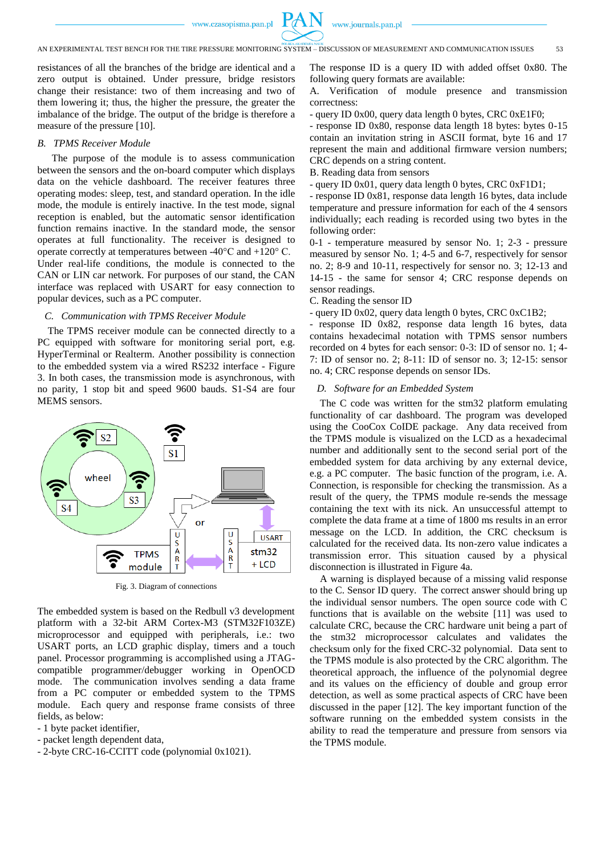

resistances of all the branches of the bridge are identical and a zero output is obtained. Under pressure, bridge resistors change their resistance: two of them increasing and two of them lowering it; thus, the higher the pressure, the greater the imbalance of the bridge. The output of the bridge is therefore a measure of the pressure [10].

# *B. TPMS Receiver Module*

The purpose of the module is to assess communication between the sensors and the on-board computer which displays data on the vehicle dashboard. The receiver features three operating modes: sleep, test, and standard operation. In the idle mode, the module is entirely inactive. In the test mode, signal reception is enabled, but the automatic sensor identification function remains inactive. In the standard mode, the sensor operates at full functionality. The receiver is designed to operate correctly at temperatures between -40°C and +120° C. Under real-life conditions, the module is connected to the CAN or LIN car network. For purposes of our stand, the CAN interface was replaced with USART for easy connection to popular devices, such as a PC computer.

# *C. Communication with TPMS Receiver Module*

The TPMS receiver module can be connected directly to a PC equipped with software for monitoring serial port, e.g. HyperTerminal or Realterm. Another possibility is connection to the embedded system via a wired RS232 interface - Figure 3. In both cases, the transmission mode is asynchronous, with no parity, 1 stop bit and speed 9600 bauds. S1-S4 are four MEMS sensors.



Fig. 3. Diagram of connections

The embedded system is based on the Redbull v3 development platform with a 32-bit ARM Cortex-M3 (STM32F103ZE) microprocessor and equipped with peripherals, i.e.: two USART ports, an LCD graphic display, timers and a touch panel. Processor programming is accomplished using a JTAGcompatible programmer/debugger working in OpenOCD mode. The communication involves sending a data frame from a PC computer or embedded system to the TPMS module. Each query and response frame consists of three fields, as below:

- 1 byte packet identifier,
- packet length dependent data,
- 2-byte CRC-16-CCITT code (polynomial 0x1021).

The response ID is a query ID with added offset 0x80. The following query formats are available:

A. Verification of module presence and transmission correctness:

- query ID 0x00, query data length 0 bytes, CRC 0xE1F0;

- response ID 0x80, response data length 18 bytes: bytes 0-15 contain an invitation string in ASCII format, byte 16 and 17 represent the main and additional firmware version numbers; CRC depends on a string content.

B. Reading data from sensors

- query ID 0x01, query data length 0 bytes, CRC 0xF1D1;

- response ID 0x81, response data length 16 bytes, data include temperature and pressure information for each of the 4 sensors individually; each reading is recorded using two bytes in the following order:

0-1 - temperature measured by sensor No. 1; 2-3 - pressure measured by sensor No. 1; 4-5 and 6-7, respectively for sensor no. 2; 8-9 and 10-11, respectively for sensor no. 3; 12-13 and 14-15 - the same for sensor 4; CRC response depends on sensor readings.

#### C. Reading the sensor ID

- query ID 0x02, query data length 0 bytes, CRC 0xC1B2;

- response ID 0x82, response data length 16 bytes, data contains hexadecimal notation with TPMS sensor numbers recorded on 4 bytes for each sensor: 0-3: ID of sensor no. 1; 4- 7: ID of sensor no. 2; 8-11: ID of sensor no. 3; 12-15: sensor no. 4; CRC response depends on sensor IDs.

#### *D. Software for an Embedded System*

The C code was written for the stm32 platform emulating functionality of car dashboard. The program was developed using the CooCox CoIDE package. Any data received from the TPMS module is visualized on the LCD as a hexadecimal number and additionally sent to the second serial port of the embedded system for data archiving by any external device, e.g. a PC computer. The basic function of the program, i.e. A. Connection, is responsible for checking the transmission. As a result of the query, the TPMS module re-sends the message containing the text with its nick. An unsuccessful attempt to complete the data frame at a time of 1800 ms results in an error message on the LCD. In addition, the CRC checksum is calculated for the received data. Its non-zero value indicates a transmission error. This situation caused by a physical disconnection is illustrated in Figure 4a.

A warning is displayed because of a missing valid response to the C. Sensor ID query. The correct answer should bring up the individual sensor numbers. The open source code with C functions that is available on the website [11] was used to calculate CRC, because the CRC hardware unit being a part of the stm32 microprocessor calculates and validates the checksum only for the fixed CRC-32 polynomial. Data sent to the TPMS module is also protected by the CRC algorithm. The theoretical approach, the influence of the polynomial degree and its values on the efficiency of double and group error detection, as well as some practical aspects of CRC have been discussed in the paper [12]. The key important function of the software running on the embedded system consists in the ability to read the temperature and pressure from sensors via the TPMS module.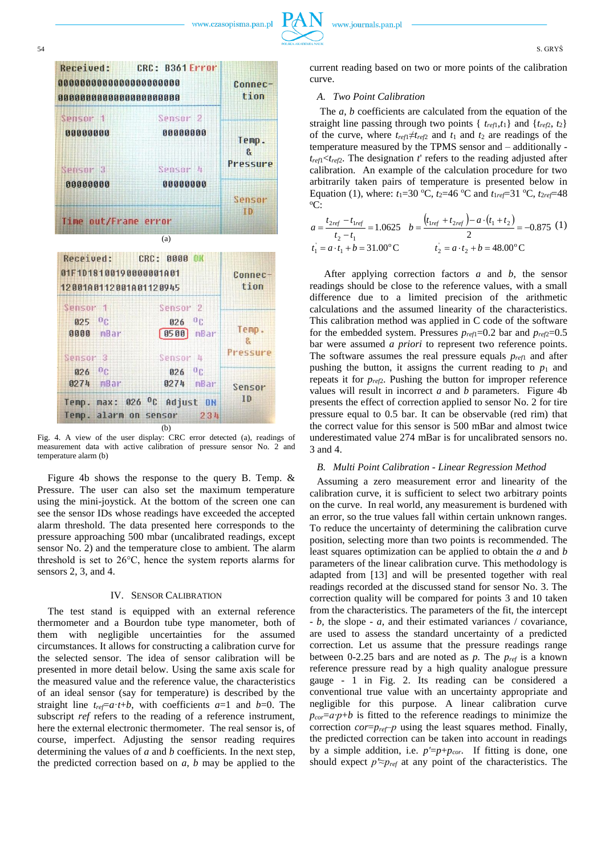



Fig. 4. A view of the user display: CRC error detected (a), readings of measurement data with active calibration of pressure sensor No. 2 and temperature alarm (b)

Figure 4b shows the response to the query B. Temp. & Pressure. The user can also set the maximum temperature using the mini-joystick. At the bottom of the screen one can see the sensor IDs whose readings have exceeded the accepted alarm threshold. The data presented here corresponds to the pressure approaching 500 mbar (uncalibrated readings, except sensor No. 2) and the temperature close to ambient. The alarm threshold is set to 26°C, hence the system reports alarms for sensors 2, 3, and 4.

## IV. SENSOR CALIBRATION

The test stand is equipped with an external reference thermometer and a Bourdon tube type manometer, both of them with negligible uncertainties for the assumed circumstances. It allows for constructing a calibration curve for the selected sensor. The idea of sensor calibration will be presented in more detail below. Using the same axis scale for the measured value and the reference value, the characteristics of an ideal sensor (say for temperature) is described by the straight line  $t_{ref}=a\cdot t+b$ , with coefficients  $a=1$  and  $b=0$ . The subscript *ref* refers to the reading of a reference instrument, here the external electronic thermometer. The real sensor is, of course, imperfect. Adjusting the sensor reading requires determining the values of *a* and *b* coefficients. In the next step, the predicted correction based on *a*, *b* may be applied to the

current reading based on two or more points of the calibration curve.

# *A. Two Point Calibration*

The *a*, *b* coefficients are calculated from the equation of the straight line passing through two points {  $t_{ref1}, t_1$ } and { $t_{ref2}, t_2$ } of the curve, where  $t_{ref1} \neq t_{ref2}$  and  $t_1$  and  $t_2$  are readings of the temperature measured by the TPMS sensor and – additionally  $t_{ref1}$ < $t_{ref2}$ . The designation  $t'$  refers to the reading adjusted after calibration. An example of the calculation procedure for two arbitrarily taken pairs of temperature is presented below in Equation (1), where:  $t_1 = 30 \degree C$ ,  $t_2 = 46 \degree C$  and  $t_1_{ref} = 31 \degree C$ ,  $t_2_{ref} = 48$  $^{\circ}C$ :

$$
a = \frac{t_{2ref} - t_{1ref}}{t_2 - t_1} = 1.0625 \quad b = \frac{(t_{1ref} + t_{2ref}) - a \cdot (t_1 + t_2)}{2} = -0.875 \tag{1}
$$
\n
$$
t_1 = a \cdot t_1 + b = 31.00^{\circ} \text{C}
$$
\n
$$
t_2 = a \cdot t_2 + b = 48.00^{\circ} \text{C}
$$

After applying correction factors *a* and *b*, the sensor readings should be close to the reference values, with a small difference due to a limited precision of the arithmetic calculations and the assumed linearity of the characteristics. This calibration method was applied in C code of the software for the embedded system. Pressures  $p_{ref1}=0.2$  bar and  $p_{ref2}=0.5$ bar were assumed *a priori* to represent two reference points. The software assumes the real pressure equals *pref*<sup>1</sup> and after pushing the button, it assigns the current reading to  $p_1$  and repeats it for *pref*2. Pushing the button for improper reference values will result in incorrect *a* and *b* parameters. Figure 4b presents the effect of correction applied to sensor No. 2 for tire pressure equal to 0.5 bar. It can be observable (red rim) that the correct value for this sensor is 500 mBar and almost twice underestimated value 274 mBar is for uncalibrated sensors no. 3 and 4.

## *B. Multi Point Calibration - Linear Regression Method*

Assuming a zero measurement error and linearity of the calibration curve, it is sufficient to select two arbitrary points on the curve. In real world, any measurement is burdened with an error, so the true values fall within certain unknown ranges. To reduce the uncertainty of determining the calibration curve position, selecting more than two points is recommended. The least squares optimization can be applied to obtain the *a* and *b* parameters of the linear calibration curve. This methodology is adapted from [13] and will be presented together with real readings recorded at the discussed stand for sensor No. 3. The correction quality will be compared for points 3 and 10 taken from the characteristics. The parameters of the fit, the intercept - *b,* the slope - *a*, and their estimated variances / covariance, are used to assess the standard uncertainty of a predicted correction. Let us assume that the pressure readings range between 0-2.25 bars and are noted as *p.* The *pref* is a known reference pressure read by a high quality analogue pressure gauge - 1 in Fig. 2. Its reading can be considered a conventional true value with an uncertainty appropriate and negligible for this purpose. A linear calibration curve  $p_{cor}=a\cdot p+b$  is fitted to the reference readings to minimize the correction *cor*=*pref‒p* using the least squares method. Finally, the predicted correction can be taken into account in readings by a simple addition, i.e.  $p' = p + p_{cor}$ . If fitting is done, one should expect  $p \approx p_{ref}$  at any point of the characteristics. The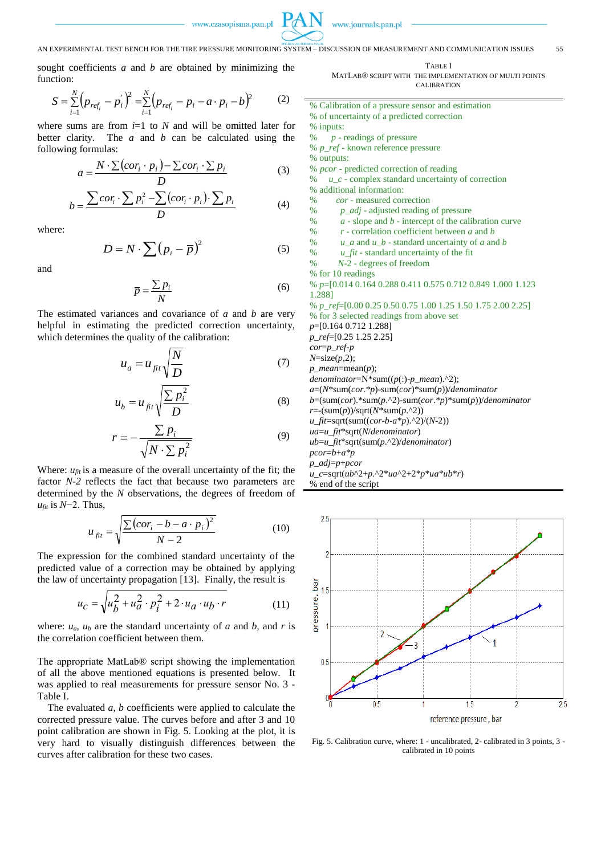

www.journals.pan.pl

## AN EXPERIMENTAL TEST BENCH FOR THE TIRE PRESSURE MONITORING SYSTEM – DISCUSSION OF MEASUREMENT AND COMMUNICATION ISSUES 55

sought coefficients *a* and *b* are obtained by minimizing the function:

$$
S = \sum_{i=1}^{N} (p_{ref_i} - p_i)^2 = \sum_{i=1}^{N} (p_{ref_i} - p_i - a \cdot p_i - b)^2
$$
 (2)

where sums are from  $i=1$  to  $N$  and will be omitted later for better clarity*.* The *a* and *b* can be calculated using the following formulas:

$$
a = \frac{N \cdot \sum (cor_i \cdot p_i) - \sum cor_i \cdot \sum p_i}{D}
$$
 (3)

$$
b = \frac{\sum cor_i \cdot \sum p_i^2 - \sum (cor_i \cdot p_i) \cdot \sum p_i}{D}
$$
 (4)

where:

$$
D = N \cdot \sum (p_i - \overline{p})^2 \tag{5}
$$

and

$$
\overline{p} = \frac{\sum p_i}{N} \tag{6}
$$

The estimated variances and covariance of *a* and *b* are very helpful in estimating the predicted correction uncertainty, which determines the quality of the calibration:

$$
u_a = u_{fit} \sqrt{\frac{N}{D}} \tag{7}
$$

$$
u_b = u_{fit} \sqrt{\frac{\sum p_i^2}{D}}
$$
 (8)

$$
r = -\frac{\sum p_i}{\sqrt{N \cdot \sum p_i^2}} \tag{9}
$$

Where:  $u_{fit}$  is a measure of the overall uncertainty of the fit; the factor *N-2* reflects the fact that because two parameters are determined by the *N* observations, the degrees of freedom of *u<sub>fit</sub>* is *N*−2. Thus,

$$
u_{fit} = \sqrt{\frac{\sum (cor_i - b - a \cdot p_i)^2}{N - 2}}
$$
 (10)

The expression for the combined standard uncertainty of the predicted value of a correction may be obtained by applying the law of uncertainty propagation [13]. Finally, the result is

$$
u_C = \sqrt{u_D^2 + u_a^2} \cdot p_i^2 + 2 \cdot u_a \cdot u_b \cdot r \tag{11}
$$

where:  $u_a$ ,  $u_b$  are the standard uncertainty of *a* and *b*, and *r* is the correlation coefficient between them.

The appropriate MatLab® script showing the implementation of all the above mentioned equations is presented below. It was applied to real measurements for pressure sensor No. 3 - Table I.

The evaluated *a*, *b* coefficients were applied to calculate the corrected pressure value. The curves before and after 3 and 10 point calibration are shown in Fig. 5. Looking at the plot, it is very hard to visually distinguish differences between the curves after calibration for these two cases.

TABLE I MATLAB® SCRIPT WITH THE IMPLEMENTATION OF MULTI POINTS

CALIBRATION

% Calibration of a pressure sensor and estimation % of uncertainty of a predicted correction % inputs: % *p* - readings of pressure % *p\_ref* - known reference pressure % outputs: % *pcor* - predicted correction of reading % *u\_c* - complex standard uncertainty of correction % additional information: % *cor* - measured correction % *p\_adj* - adjusted reading of pressure %  $a - slope$  and  $b -$  intercept of the calibration curve<br>%  $r = constant$  correlation coefficient between a and  $b$  $r$  - correlation coefficient between  $a$  and  $b$ %  $u_a$  and  $u_b$  - standard uncertainty of *a* and *b* % *u*\_*fit* - standard uncertainty of the fit % *N*-2 - degrees of freedom % for 10 readings % *p*=[0.014 0.164 0.288 0.411 0.575 0.712 0.849 1.000 1.123 1.288] % *p\_ref*=[0.00 0.25 0.50 0.75 1.00 1.25 1.50 1.75 2.00 2.25] % for 3 selected readings from above set *p*=[0.164 0.712 1.288] *p\_ref*=[0.25 1.25 2.25] *cor*=*p\_ref-p N*=size(*p*,2); *p\_mean*=mean(*p*); *denominator*=N\*sum((*p*(:)-*p\_mean*).^2); *a*=(*N*\*sum(*cor*.\**p*)-sum(*cor*)\*sum(*p*))/*denominator b*=(sum(*cor*).\*sum(*p*.^2)-sum(*cor*.\**p*)\*sum(*p*))/*denominator r*=-(sum(*p*))/sqrt(*N*\*sum(*p*.^2)) *u\_fit*=sqrt(sum((*cor*-*b*-*a*\**p*).^2)/(*N*-2)) *ua*=*u\_fit*\*sqrt(*N*/*denominator*) *ub*=*u\_fit*\*sqrt(sum(*p*.^2)/*denominator*) *pcor*=*b*+*a*\**p p\_adj*=*p*+*pcor u\_c*=sqrt(*ub*^2+*p*.^2\**ua*^2+2\**p*\**ua*\**ub*\**r*) % end of the script



Fig. 5. Calibration curve, where: 1 - uncalibrated, 2- calibrated in 3 points, 3 calibrated in 10 points